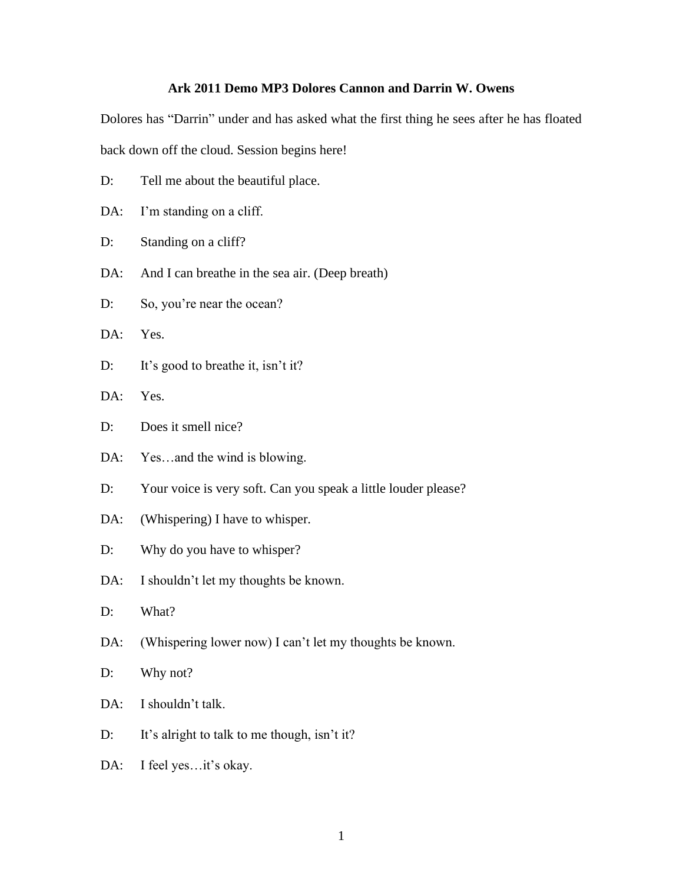## **Ark 2011 Demo MP3 Dolores Cannon and Darrin W. Owens**

Dolores has "Darrin" under and has asked what the first thing he sees after he has floated back down off the cloud. Session begins here!

- D: Tell me about the beautiful place.
- DA: I'm standing on a cliff.
- D: Standing on a cliff?
- DA: And I can breathe in the sea air. (Deep breath)
- D: So, you're near the ocean?
- DA: Yes.
- D: It's good to breathe it, isn't it?
- DA: Yes.
- D: Does it smell nice?
- DA: Yes...and the wind is blowing.
- D: Your voice is very soft. Can you speak a little louder please?
- DA: (Whispering) I have to whisper.
- D: Why do you have to whisper?
- DA: I shouldn't let my thoughts be known.
- D: What?
- DA: (Whispering lower now) I can't let my thoughts be known.
- D: Why not?
- DA: I shouldn't talk.
- D: It's alright to talk to me though, isn't it?
- DA: I feel yes...it's okay.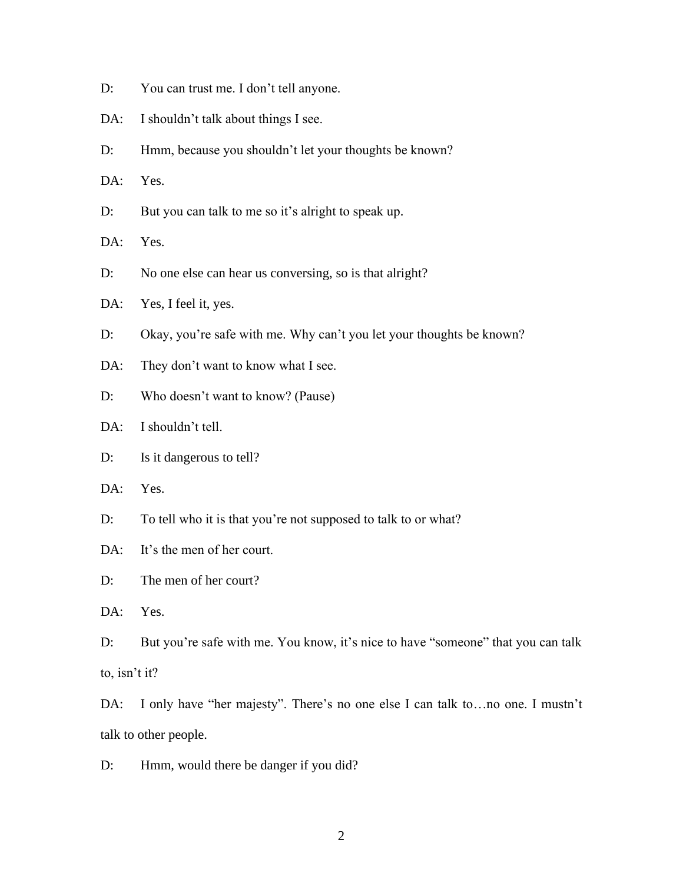- D: You can trust me. I don't tell anyone.
- DA: I shouldn't talk about things I see.
- D: Hmm, because you shouldn't let your thoughts be known?
- DA: Yes.
- D: But you can talk to me so it's alright to speak up.
- DA: Yes.
- D: No one else can hear us conversing, so is that alright?
- DA: Yes, I feel it, yes.
- D: Okay, you're safe with me. Why can't you let your thoughts be known?
- DA: They don't want to know what I see.
- D: Who doesn't want to know? (Pause)
- DA: I shouldn't tell.
- D: Is it dangerous to tell?
- DA: Yes.
- D: To tell who it is that you're not supposed to talk to or what?
- DA: It's the men of her court.

D: The men of her court?

DA: Yes.

- D: But you're safe with me. You know, it's nice to have "someone" that you can talk to, isn't it?
- DA: I only have "her majesty". There's no one else I can talk to…no one. I mustn't talk to other people.
- D: Hmm, would there be danger if you did?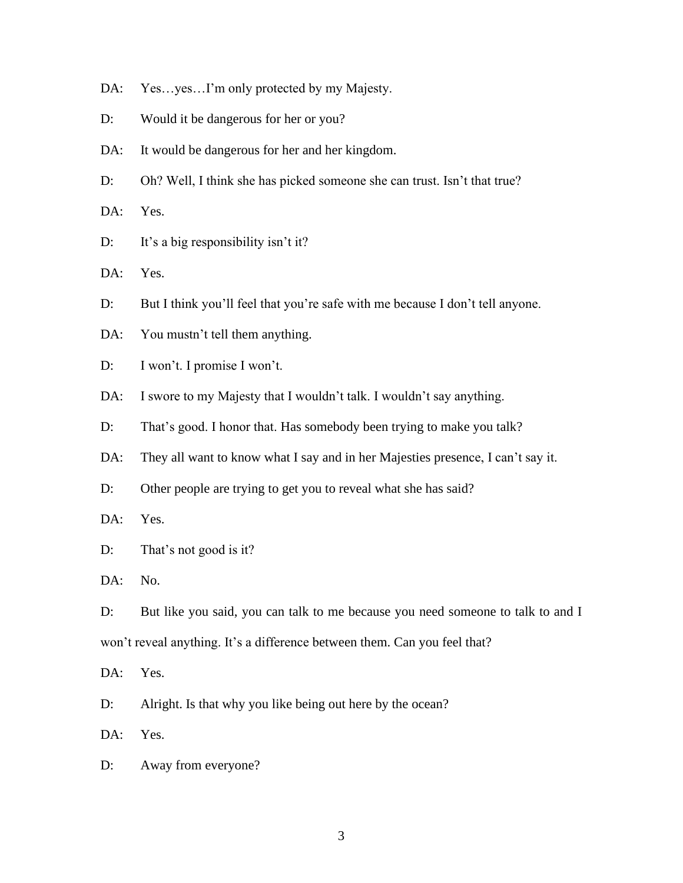- DA: Yes...yes...I'm only protected by my Majesty.
- D: Would it be dangerous for her or you?
- DA: It would be dangerous for her and her kingdom.
- D: Oh? Well, I think she has picked someone she can trust. Isn't that true?

DA: Yes.

D: It's a big responsibility isn't it?

DA: Yes.

- D: But I think you'll feel that you're safe with me because I don't tell anyone.
- DA: You mustn't tell them anything.
- D: I won't. I promise I won't.
- DA: I swore to my Majesty that I wouldn't talk. I wouldn't say anything.
- D: That's good. I honor that. Has somebody been trying to make you talk?
- DA: They all want to know what I say and in her Majesties presence, I can't say it.
- D: Other people are trying to get you to reveal what she has said?

DA: Yes.

D: That's not good is it?

DA: No.

D: But like you said, you can talk to me because you need someone to talk to and I won't reveal anything. It's a difference between them. Can you feel that?

DA: Yes.

D: Alright. Is that why you like being out here by the ocean?

DA: Yes.

D: Away from everyone?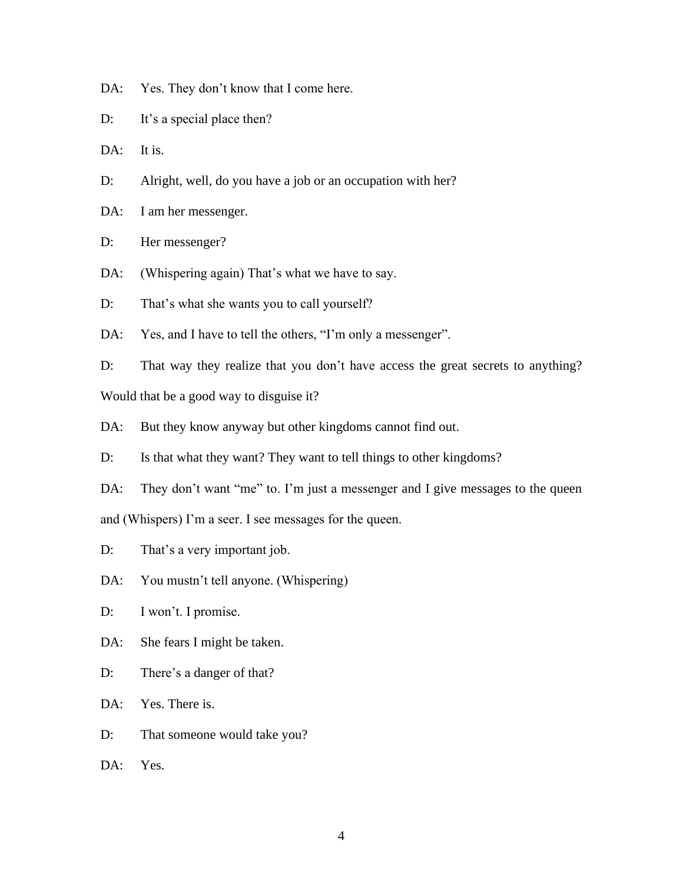DA: Yes. They don't know that I come here.

D: It's a special place then?

DA: It is.

- D: Alright, well, do you have a job or an occupation with her?
- DA: I am her messenger.

D: Her messenger?

- DA: (Whispering again) That's what we have to say.
- D: That's what she wants you to call yourself?

DA: Yes, and I have to tell the others, "I'm only a messenger".

D: That way they realize that you don't have access the great secrets to anything?

Would that be a good way to disguise it?

DA: But they know anyway but other kingdoms cannot find out.

D: Is that what they want? They want to tell things to other kingdoms?

DA: They don't want "me" to. I'm just a messenger and I give messages to the queen and (Whispers) I'm a seer. I see messages for the queen.

D: That's a very important job.

DA: You mustn't tell anyone. (Whispering)

D: I won't. I promise.

DA: She fears I might be taken.

D: There's a danger of that?

DA: Yes. There is.

D: That someone would take you?

DA: Yes.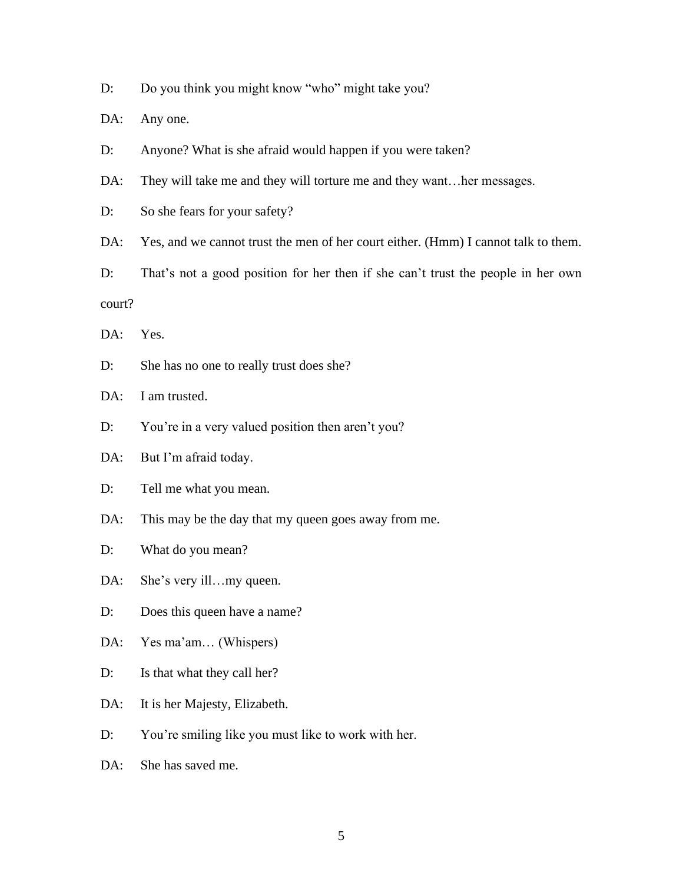D: Do you think you might know "who" might take you?

DA: Any one.

D: Anyone? What is she afraid would happen if you were taken?

DA: They will take me and they will torture me and they want...her messages.

D: So she fears for your safety?

DA: Yes, and we cannot trust the men of her court either. (Hmm) I cannot talk to them.

D: That's not a good position for her then if she can't trust the people in her own court?

DA: Yes.

D: She has no one to really trust does she?

DA: I am trusted.

D: You're in a very valued position then aren't you?

DA: But I'm afraid today.

D: Tell me what you mean.

DA: This may be the day that my queen goes away from me.

D: What do you mean?

DA: She's very ill...my queen.

D: Does this queen have a name?

DA: Yes ma'am... (Whispers)

D: Is that what they call her?

DA: It is her Majesty, Elizabeth.

D: You're smiling like you must like to work with her.

DA: She has saved me.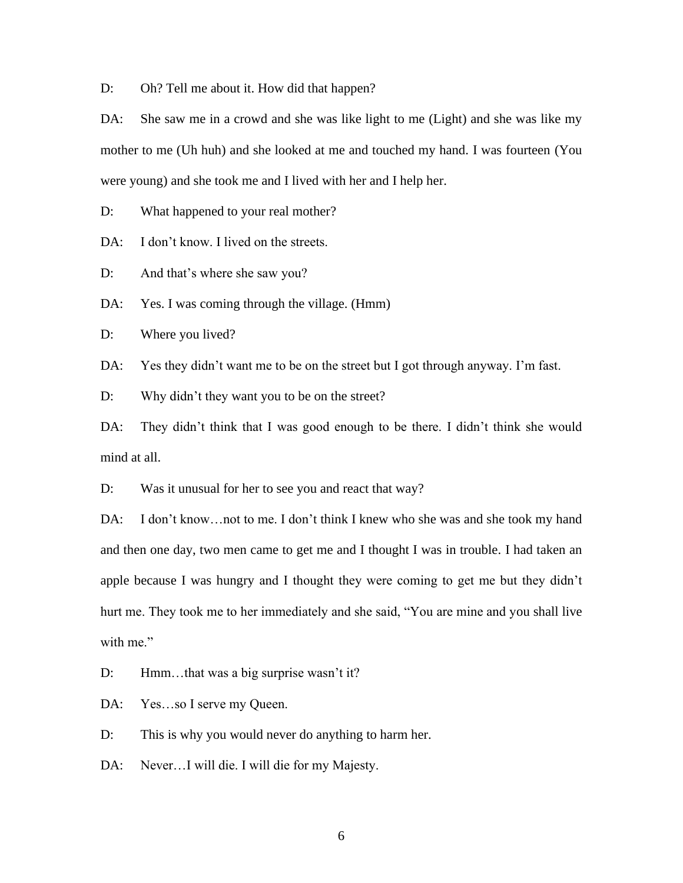D: Oh? Tell me about it. How did that happen?

DA: She saw me in a crowd and she was like light to me (Light) and she was like my mother to me (Uh huh) and she looked at me and touched my hand. I was fourteen (You were young) and she took me and I lived with her and I help her.

D: What happened to your real mother?

DA: I don't know. I lived on the streets.

D: And that's where she saw you?

DA: Yes. I was coming through the village. (Hmm)

D: Where you lived?

DA: Yes they didn't want me to be on the street but I got through anyway. I'm fast.

D: Why didn't they want you to be on the street?

DA: They didn't think that I was good enough to be there. I didn't think she would mind at all.

D: Was it unusual for her to see you and react that way?

DA: I don't know...not to me. I don't think I knew who she was and she took my hand and then one day, two men came to get me and I thought I was in trouble. I had taken an apple because I was hungry and I thought they were coming to get me but they didn't hurt me. They took me to her immediately and she said, "You are mine and you shall live with me."

D: Hmm...that was a big surprise wasn't it?

DA: Yes...so I serve my Queen.

D: This is why you would never do anything to harm her.

DA: Never…I will die. I will die for my Majesty.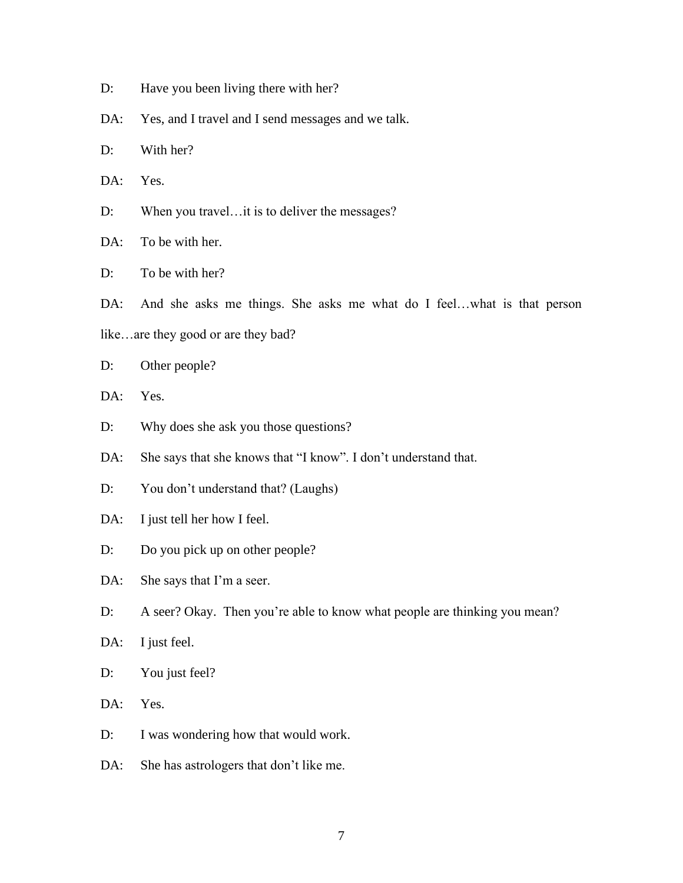- D: Have you been living there with her?
- DA: Yes, and I travel and I send messages and we talk.
- D: With her?
- DA: Yes.
- D: When you travel... it is to deliver the messages?
- DA: To be with her.
- D: To be with her?
- DA: And she asks me things. She asks me what do I feel…what is that person
- like…are they good or are they bad?
- D: Other people?
- DA: Yes.
- D: Why does she ask you those questions?
- DA: She says that she knows that "I know". I don't understand that.
- D: You don't understand that? (Laughs)
- DA: I just tell her how I feel.
- D: Do you pick up on other people?
- DA: She says that I'm a seer.
- D: A seer? Okay. Then you're able to know what people are thinking you mean?
- DA: I just feel.
- D: You just feel?
- DA: Yes.
- D: I was wondering how that would work.
- DA: She has astrologers that don't like me.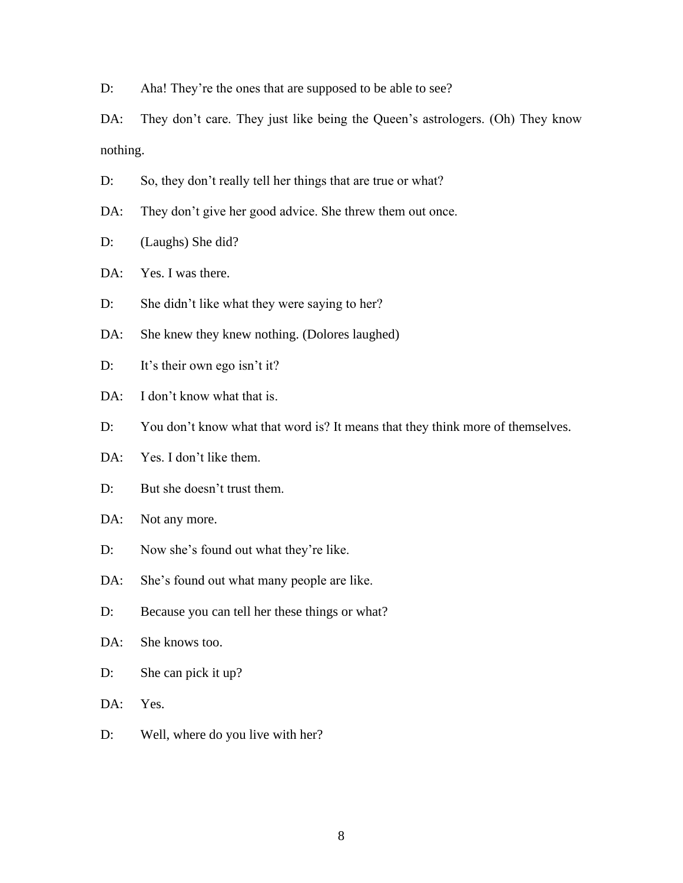D: Aha! They're the ones that are supposed to be able to see?

DA: They don't care. They just like being the Queen's astrologers. (Oh) They know nothing.

- D: So, they don't really tell her things that are true or what?
- DA: They don't give her good advice. She threw them out once.
- D: (Laughs) She did?

DA: Yes. I was there.

- D: She didn't like what they were saying to her?
- DA: She knew they knew nothing. (Dolores laughed)
- D: It's their own ego isn't it?
- DA: I don't know what that is.
- D: You don't know what that word is? It means that they think more of themselves.
- DA: Yes. I don't like them.
- D: But she doesn't trust them.
- DA: Not any more.
- D: Now she's found out what they're like.
- DA: She's found out what many people are like.
- D: Because you can tell her these things or what?
- DA: She knows too.
- D: She can pick it up?
- DA: Yes.
- D: Well, where do you live with her?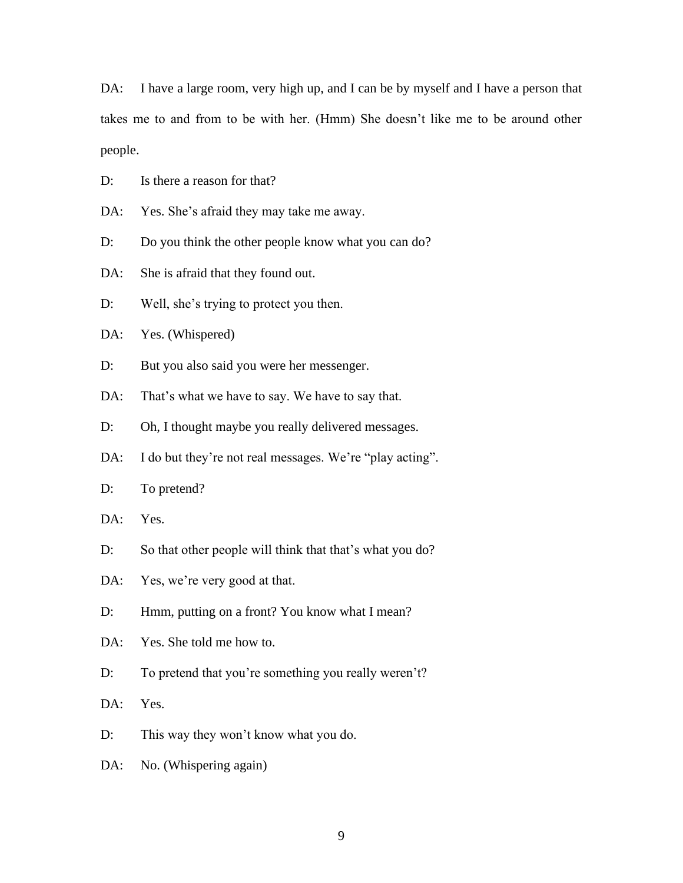DA: I have a large room, very high up, and I can be by myself and I have a person that takes me to and from to be with her. (Hmm) She doesn't like me to be around other people.

D: Is there a reason for that?

DA: Yes. She's afraid they may take me away.

D: Do you think the other people know what you can do?

DA: She is a fraid that they found out.

D: Well, she's trying to protect you then.

DA: Yes. (Whispered)

D: But you also said you were her messenger.

DA: That's what we have to say. We have to say that.

D: Oh, I thought maybe you really delivered messages.

DA: I do but they're not real messages. We're "play acting".

D: To pretend?

DA: Yes.

D: So that other people will think that that's what you do?

DA: Yes, we're very good at that.

D: Hmm, putting on a front? You know what I mean?

DA: Yes. She told me how to.

D: To pretend that you're something you really weren't?

DA: Yes.

D: This way they won't know what you do.

DA: No. (Whispering again)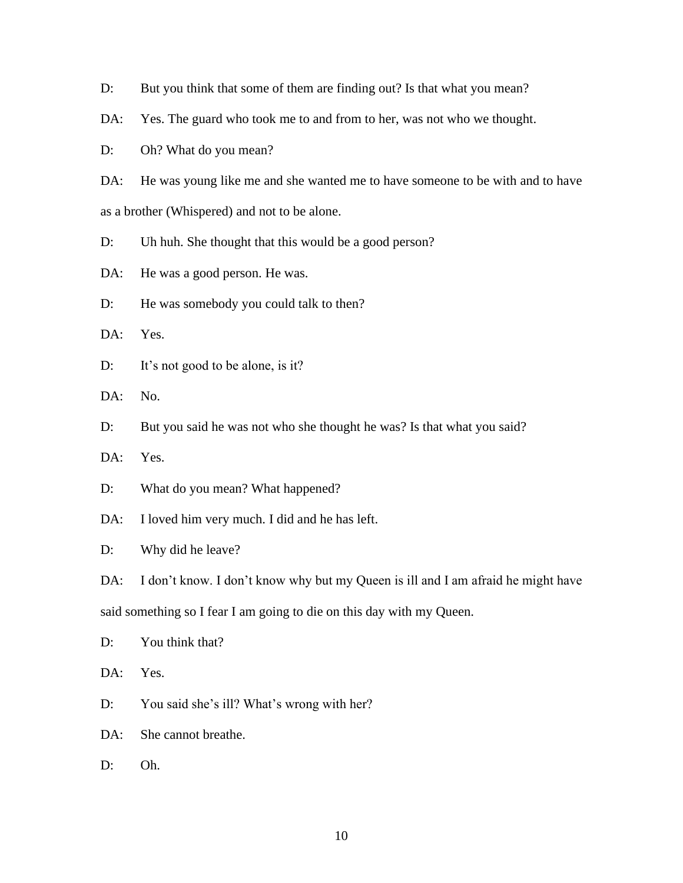- D: But you think that some of them are finding out? Is that what you mean?
- DA: Yes. The guard who took me to and from to her, was not who we thought.
- D: Oh? What do you mean?

DA: He was young like me and she wanted me to have someone to be with and to have as a brother (Whispered) and not to be alone.

- D: Uh huh. She thought that this would be a good person?
- DA: He was a good person. He was.
- D: He was somebody you could talk to then?
- DA: Yes.
- D: It's not good to be alone, is it?
- DA: No.
- D: But you said he was not who she thought he was? Is that what you said?
- DA: Yes.
- D: What do you mean? What happened?
- DA: I loved him very much. I did and he has left.
- D: Why did he leave?

DA: I don't know. I don't know why but my Queen is ill and I am afraid he might have

said something so I fear I am going to die on this day with my Queen.

- D: You think that?
- DA: Yes.
- D: You said she's ill? What's wrong with her?
- DA: She cannot breathe.
- D: Oh.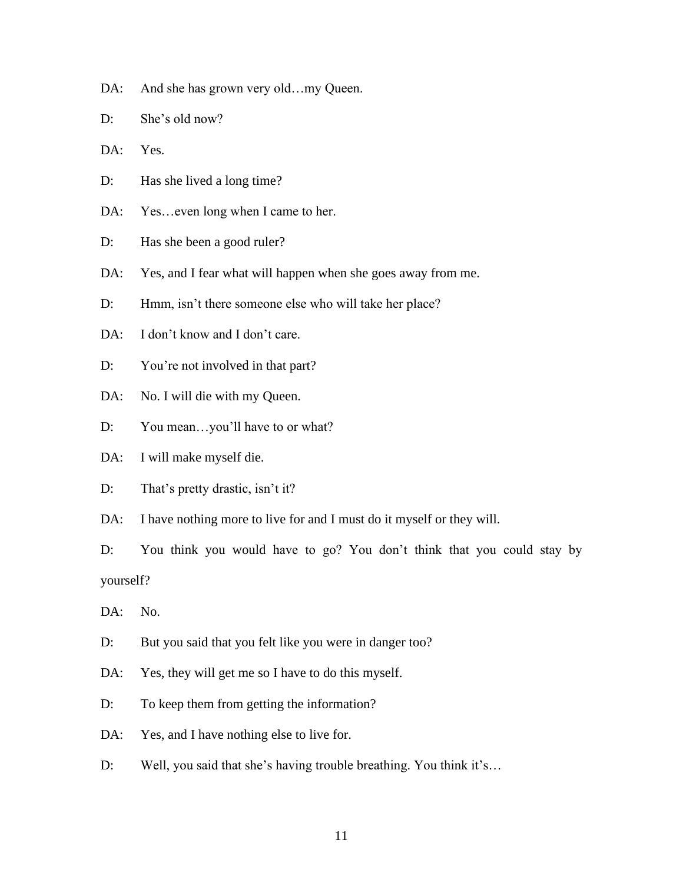- DA: And she has grown very old...my Queen.
- D: She's old now?
- DA: Yes.
- D: Has she lived a long time?
- DA: Yes...even long when I came to her.
- D: Has she been a good ruler?
- DA: Yes, and I fear what will happen when she goes away from me.
- D: Hmm, isn't there someone else who will take her place?
- DA: I don't know and I don't care.
- D: You're not involved in that part?
- DA: No. I will die with my Queen.
- D: You mean...you'll have to or what?
- DA: I will make myself die.
- D: That's pretty drastic, isn't it?
- DA: I have nothing more to live for and I must do it myself or they will.
- D: You think you would have to go? You don't think that you could stay by yourself?
- DA: No.
- D: But you said that you felt like you were in danger too?
- DA: Yes, they will get me so I have to do this myself.
- D: To keep them from getting the information?
- DA: Yes, and I have nothing else to live for.
- D: Well, you said that she's having trouble breathing. You think it's...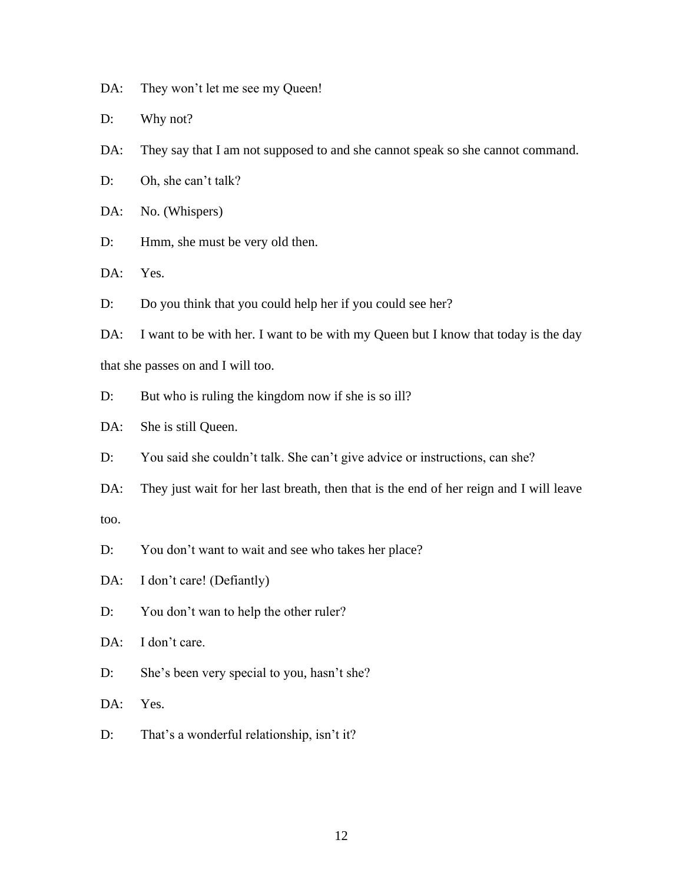DA: They won't let me see my Queen!

D: Why not?

DA: They say that I am not supposed to and she cannot speak so she cannot command.

D: Oh, she can't talk?

DA: No. (Whispers)

D: Hmm, she must be very old then.

DA: Yes.

D: Do you think that you could help her if you could see her?

DA: I want to be with her. I want to be with my Queen but I know that today is the day that she passes on and I will too.

D: But who is ruling the kingdom now if she is so ill?

DA: She is still Queen.

D: You said she couldn't talk. She can't give advice or instructions, can she?

DA: They just wait for her last breath, then that is the end of her reign and I will leave too.

D: You don't want to wait and see who takes her place?

DA: I don't care! (Defiantly)

D: You don't wan to help the other ruler?

DA: I don't care.

D: She's been very special to you, hasn't she?

DA: Yes.

D: That's a wonderful relationship, isn't it?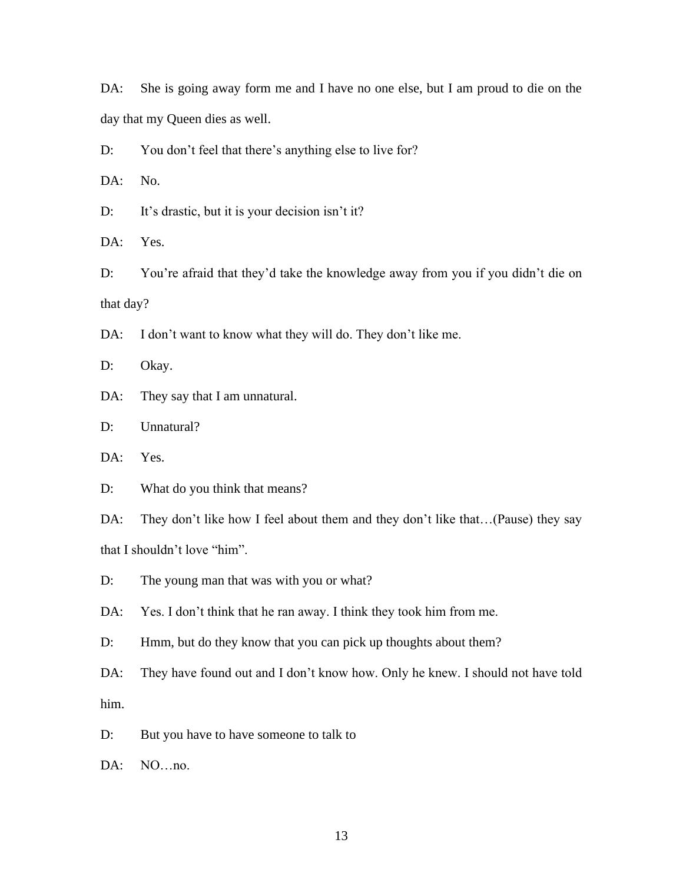DA: She is going away form me and I have no one else, but I am proud to die on the day that my Queen dies as well.

D: You don't feel that there's anything else to live for?

DA: No.

D: It's drastic, but it is your decision isn't it?

DA: Yes.

D: You're afraid that they'd take the knowledge away from you if you didn't die on that day?

DA: I don't want to know what they will do. They don't like me.

D: Okay.

DA: They say that I am unnatural.

D: Unnatural?

DA: Yes.

D: What do you think that means?

DA: They don't like how I feel about them and they don't like that...(Pause) they say that I shouldn't love "him".

D: The young man that was with you or what?

DA: Yes. I don't think that he ran away. I think they took him from me.

D: Hmm, but do they know that you can pick up thoughts about them?

DA: They have found out and I don't know how. Only he knew. I should not have told him.

D: But you have to have someone to talk to

DA: NO…no.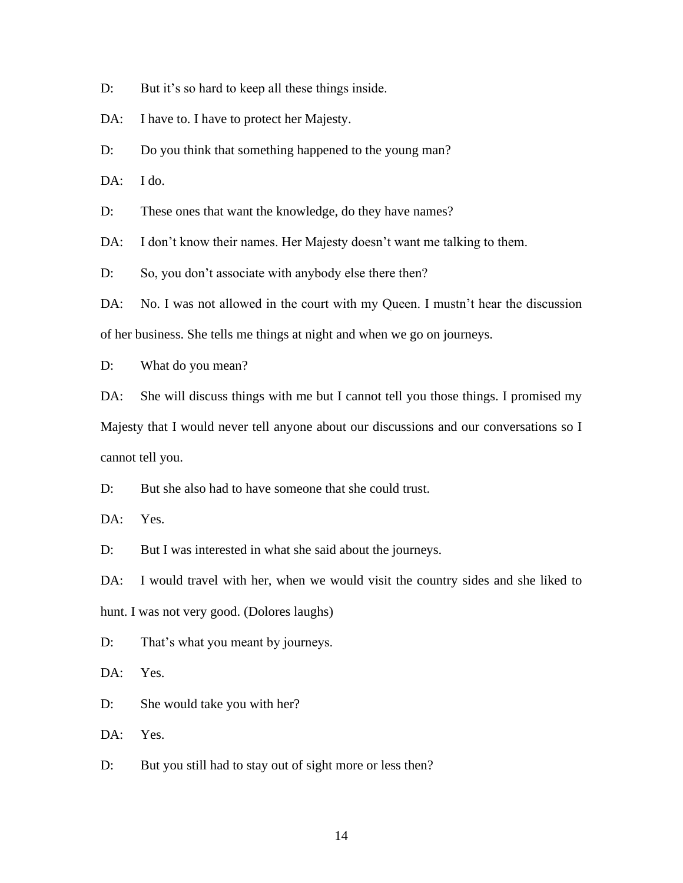D: But it's so hard to keep all these things inside.

DA: I have to. I have to protect her Majesty.

D: Do you think that something happened to the young man?

DA: I do.

D: These ones that want the knowledge, do they have names?

DA: I don't know their names. Her Majesty doesn't want me talking to them.

D: So, you don't associate with anybody else there then?

DA: No. I was not allowed in the court with my Queen. I mustn't hear the discussion of her business. She tells me things at night and when we go on journeys.

D: What do you mean?

DA: She will discuss things with me but I cannot tell you those things. I promised my Majesty that I would never tell anyone about our discussions and our conversations so I cannot tell you.

D: But she also had to have someone that she could trust.

DA: Yes.

D: But I was interested in what she said about the journeys.

DA: I would travel with her, when we would visit the country sides and she liked to hunt. I was not very good. (Dolores laughs)

D: That's what you meant by journeys.

DA: Yes.

D: She would take you with her?

DA: Yes.

D: But you still had to stay out of sight more or less then?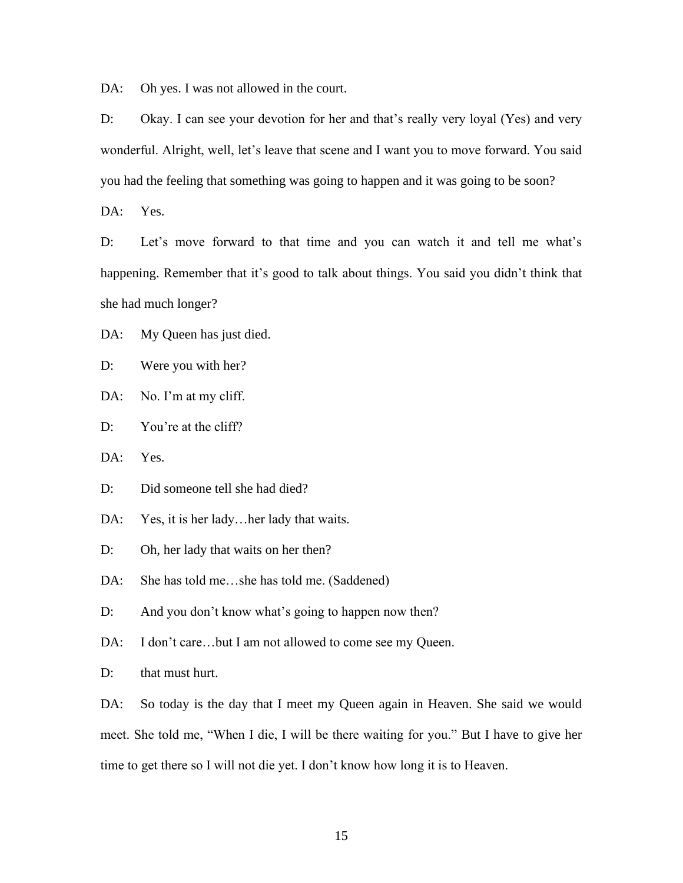DA: Oh yes. I was not allowed in the court.

D: Okay. I can see your devotion for her and that's really very loyal (Yes) and very wonderful. Alright, well, let's leave that scene and I want you to move forward. You said you had the feeling that something was going to happen and it was going to be soon?

DA: Yes.

D: Let's move forward to that time and you can watch it and tell me what's happening. Remember that it's good to talk about things. You said you didn't think that she had much longer?

DA: My Queen has just died.

D: Were you with her?

DA: No. I'm at my cliff.

D: You're at the cliff?

DA: Yes.

D: Did someone tell she had died?

DA: Yes, it is her lady...her lady that waits.

D: Oh, her lady that waits on her then?

DA: She has told me...she has told me. (Saddened)

D: And you don't know what's going to happen now then?

DA: I don't care...but I am not allowed to come see my Queen.

D: that must hurt.

DA: So today is the day that I meet my Queen again in Heaven. She said we would meet. She told me, "When I die, I will be there waiting for you." But I have to give her time to get there so I will not die yet. I don't know how long it is to Heaven.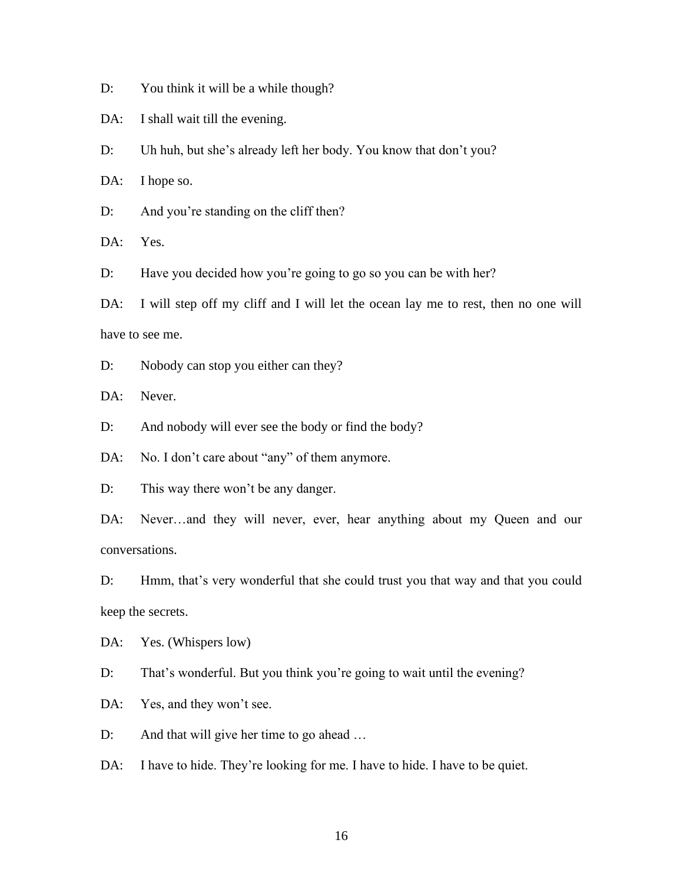D: You think it will be a while though?

DA: I shall wait till the evening.

D: Uh huh, but she's already left her body. You know that don't you?

DA: I hope so.

D: And you're standing on the cliff then?

DA: Yes.

D: Have you decided how you're going to go so you can be with her?

DA: I will step off my cliff and I will let the ocean lay me to rest, then no one will have to see me.

D: Nobody can stop you either can they?

DA: Never.

D: And nobody will ever see the body or find the body?

DA: No. I don't care about "any" of them anymore.

D: This way there won't be any danger.

DA: Never…and they will never, ever, hear anything about my Queen and our conversations.

D: Hmm, that's very wonderful that she could trust you that way and that you could keep the secrets.

DA: Yes. (Whispers low)

D: That's wonderful. But you think you're going to wait until the evening?

DA: Yes, and they won't see.

D: And that will give her time to go ahead ...

DA: I have to hide. They're looking for me. I have to hide. I have to be quiet.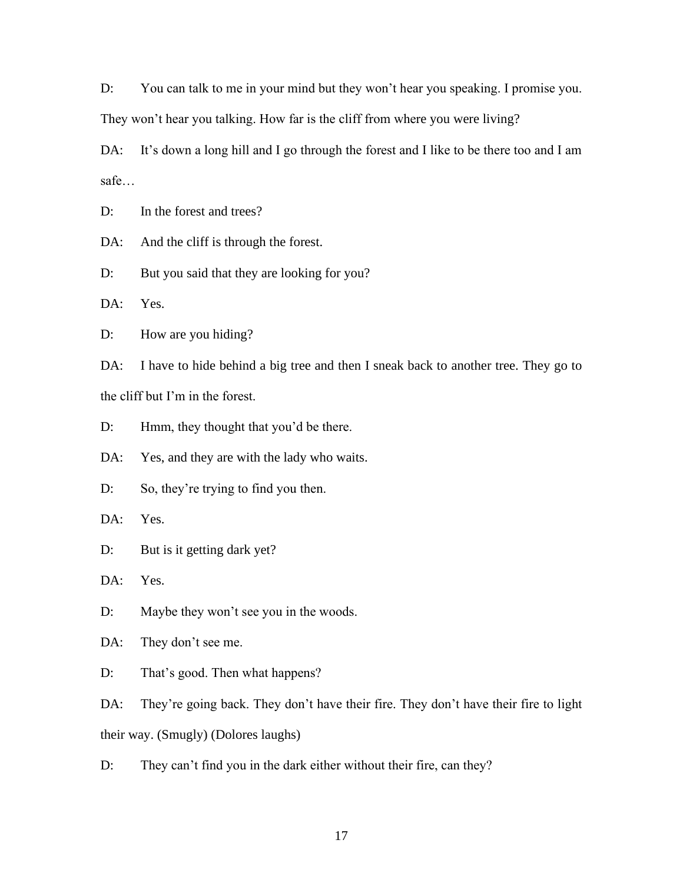D: You can talk to me in your mind but they won't hear you speaking. I promise you. They won't hear you talking. How far is the cliff from where you were living?

DA: It's down a long hill and I go through the forest and I like to be there too and I am safe…

D: In the forest and trees?

DA: And the cliff is through the forest.

D: But you said that they are looking for you?

DA: Yes.

D: How are you hiding?

DA: I have to hide behind a big tree and then I sneak back to another tree. They go to the cliff but I'm in the forest.

D: Hmm, they thought that you'd be there.

DA: Yes, and they are with the lady who waits.

D: So, they're trying to find you then.

DA: Yes.

D: But is it getting dark yet?

DA: Yes.

D: Maybe they won't see you in the woods.

DA: They don't see me.

D: That's good. Then what happens?

DA: They're going back. They don't have their fire. They don't have their fire to light their way. (Smugly) (Dolores laughs)

D: They can't find you in the dark either without their fire, can they?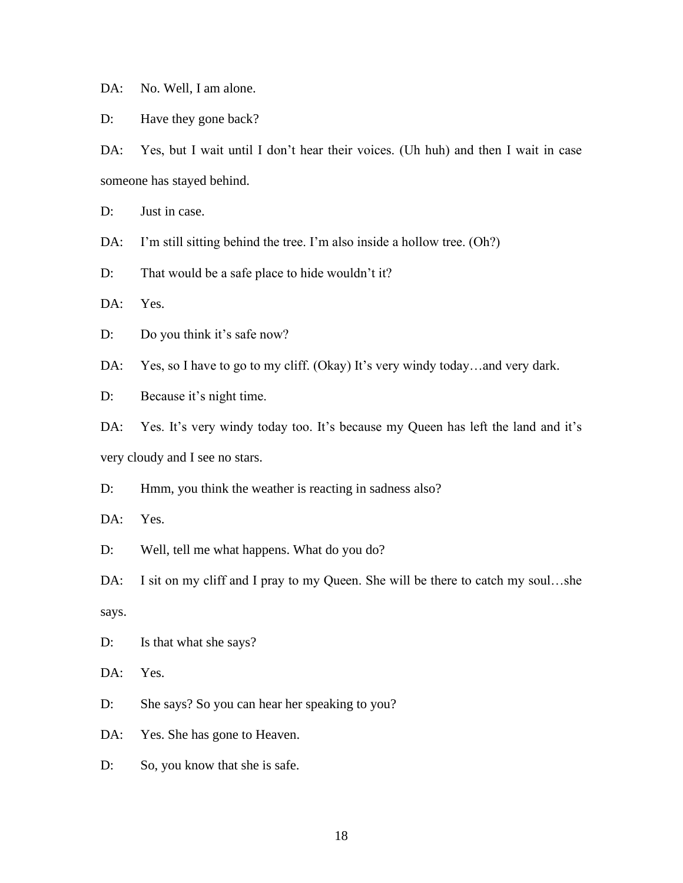DA: No. Well, I am alone.

D: Have they gone back?

DA: Yes, but I wait until I don't hear their voices. (Uh huh) and then I wait in case someone has stayed behind.

D: Just in case.

DA: I'm still sitting behind the tree. I'm also inside a hollow tree. (Oh?)

D: That would be a safe place to hide wouldn't it?

DA: Yes.

D: Do you think it's safe now?

DA: Yes, so I have to go to my cliff. (Okay) It's very windy today...and very dark.

D: Because it's night time.

DA: Yes. It's very windy today too. It's because my Queen has left the land and it's very cloudy and I see no stars.

D: Hmm, you think the weather is reacting in sadness also?

DA: Yes.

D: Well, tell me what happens. What do you do?

DA: I sit on my cliff and I pray to my Queen. She will be there to catch my soul...she says.

D: Is that what she says?

DA: Yes.

D: She says? So you can hear her speaking to you?

DA: Yes. She has gone to Heaven.

D: So, you know that she is safe.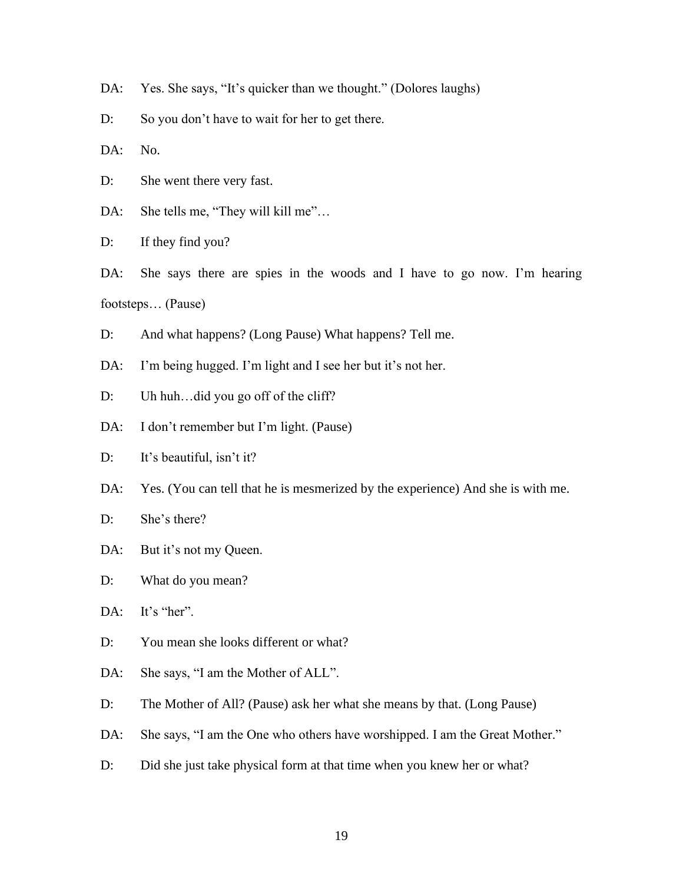- DA: Yes. She says, "It's quicker than we thought." (Dolores laughs)
- D: So you don't have to wait for her to get there.

DA: No.

- D: She went there very fast.
- DA: She tells me, "They will kill me"...

D: If they find you?

DA: She says there are spies in the woods and I have to go now. I'm hearing footsteps… (Pause)

- D: And what happens? (Long Pause) What happens? Tell me.
- DA: I'm being hugged. I'm light and I see her but it's not her.
- D: Uh huh...did you go off of the cliff?
- DA: I don't remember but I'm light. (Pause)
- D: It's beautiful, isn't it?
- DA: Yes. (You can tell that he is mesmerized by the experience) And she is with me.
- D: She's there?
- DA: But it's not my Queen.
- D: What do you mean?

DA: It's "her".

- D: You mean she looks different or what?
- DA: She says, "I am the Mother of ALL".
- D: The Mother of All? (Pause) ask her what she means by that. (Long Pause)
- DA: She says, "I am the One who others have worshipped. I am the Great Mother."
- D: Did she just take physical form at that time when you knew her or what?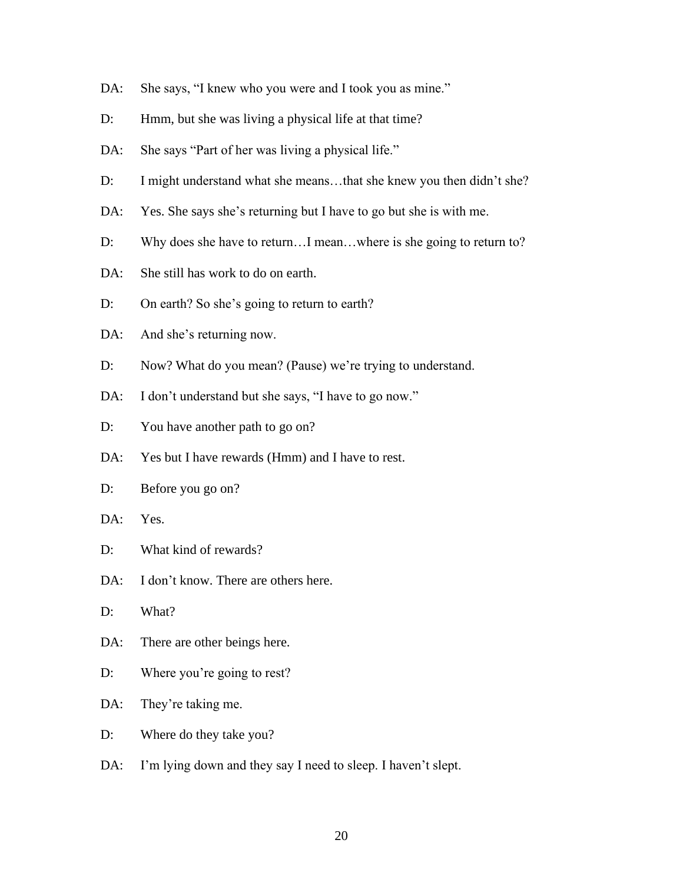- DA: She says, "I knew who you were and I took you as mine."
- D: Hmm, but she was living a physical life at that time?
- DA: She says "Part of her was living a physical life."
- D: I might understand what she means...that she knew you then didn't she?
- DA: Yes. She says she's returning but I have to go but she is with me.
- D: Why does she have to return...I mean...where is she going to return to?
- DA: She still has work to do on earth.
- D: On earth? So she's going to return to earth?
- DA: And she's returning now.
- D: Now? What do you mean? (Pause) we're trying to understand.
- DA: I don't understand but she says, "I have to go now."
- D: You have another path to go on?
- DA: Yes but I have rewards (Hmm) and I have to rest.
- D: Before you go on?
- DA: Yes.
- D: What kind of rewards?
- DA: I don't know. There are others here.
- D: What?
- DA: There are other beings here.
- D: Where you're going to rest?
- DA: They're taking me.
- D: Where do they take you?
- DA: I'm lying down and they say I need to sleep. I haven't slept.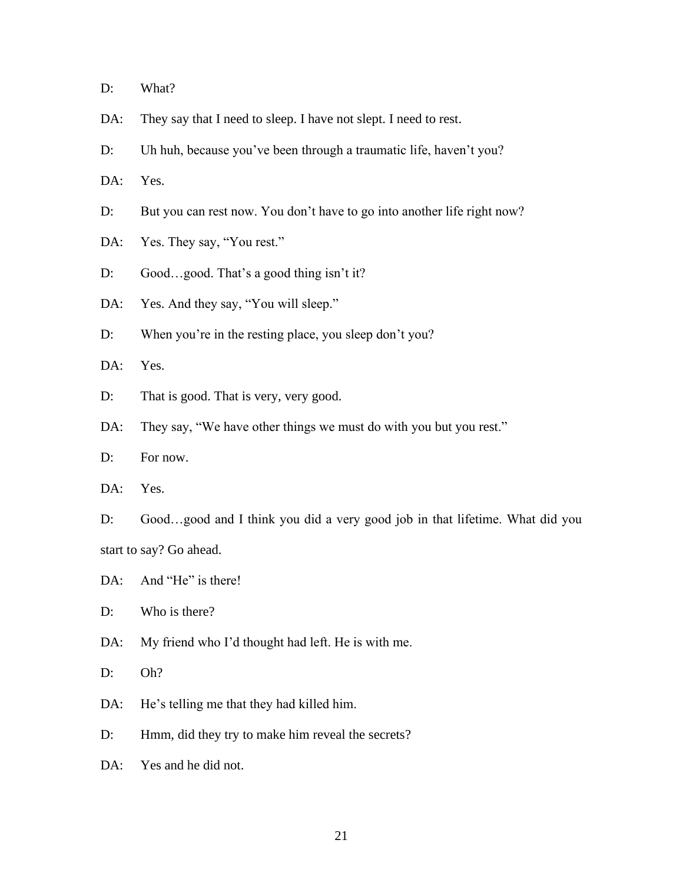D: What?

- DA: They say that I need to sleep. I have not slept. I need to rest.
- D: Uh huh, because you've been through a traumatic life, haven't you?
- DA: Yes.
- D: But you can rest now. You don't have to go into another life right now?
- DA: Yes. They say, "You rest."
- D: Good...good. That's a good thing isn't it?
- DA: Yes. And they say, "You will sleep."
- D: When you're in the resting place, you sleep don't you?

DA: Yes.

- D: That is good. That is very, very good.
- DA: They say, "We have other things we must do with you but you rest."
- D: For now.
- DA: Yes.

D: Good…good and I think you did a very good job in that lifetime. What did you start to say? Go ahead.

- DA: And "He" is there!
- D: Who is there?
- DA: My friend who I'd thought had left. He is with me.
- D: Oh?
- DA: He's telling me that they had killed him.
- D: Hmm, did they try to make him reveal the secrets?
- DA: Yes and he did not.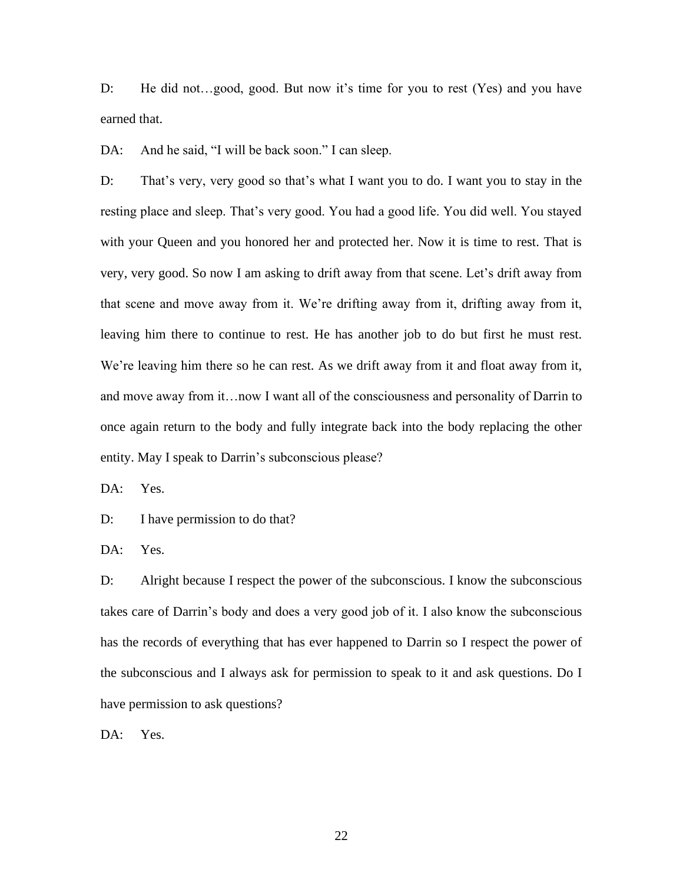D: He did not…good, good. But now it's time for you to rest (Yes) and you have earned that.

DA: And he said, "I will be back soon." I can sleep.

D: That's very, very good so that's what I want you to do. I want you to stay in the resting place and sleep. That's very good. You had a good life. You did well. You stayed with your Queen and you honored her and protected her. Now it is time to rest. That is very, very good. So now I am asking to drift away from that scene. Let's drift away from that scene and move away from it. We're drifting away from it, drifting away from it, leaving him there to continue to rest. He has another job to do but first he must rest. We're leaving him there so he can rest. As we drift away from it and float away from it, and move away from it…now I want all of the consciousness and personality of Darrin to once again return to the body and fully integrate back into the body replacing the other entity. May I speak to Darrin's subconscious please?

DA: Yes.

D: I have permission to do that?

DA: Yes.

D: Alright because I respect the power of the subconscious. I know the subconscious takes care of Darrin's body and does a very good job of it. I also know the subconscious has the records of everything that has ever happened to Darrin so I respect the power of the subconscious and I always ask for permission to speak to it and ask questions. Do I have permission to ask questions?

DA: Yes.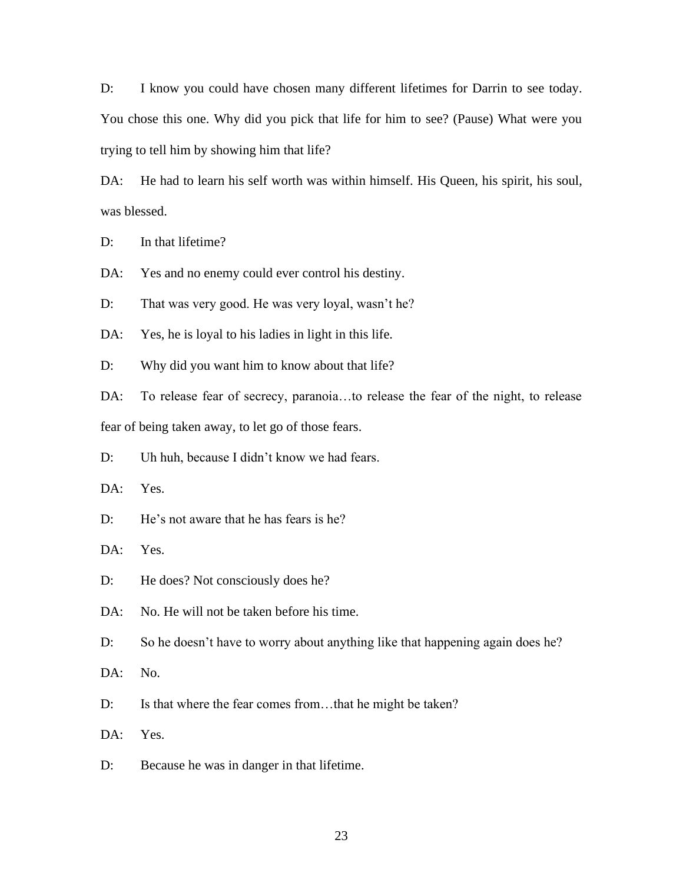D: I know you could have chosen many different lifetimes for Darrin to see today. You chose this one. Why did you pick that life for him to see? (Pause) What were you trying to tell him by showing him that life?

DA: He had to learn his self worth was within himself. His Queen, his spirit, his soul, was blessed.

D: In that lifetime?

DA: Yes and no enemy could ever control his destiny.

D: That was very good. He was very loyal, wasn't he?

DA: Yes, he is loyal to his ladies in light in this life.

D: Why did you want him to know about that life?

DA: To release fear of secrecy, paranoia…to release the fear of the night, to release fear of being taken away, to let go of those fears.

D: Uh huh, because I didn't know we had fears.

DA: Yes.

D: He's not aware that he has fears is he?

DA: Yes.

D: He does? Not consciously does he?

DA: No. He will not be taken before his time.

D: So he doesn't have to worry about anything like that happening again does he?

DA: No.

D: Is that where the fear comes from...that he might be taken?

DA: Yes.

D: Because he was in danger in that lifetime.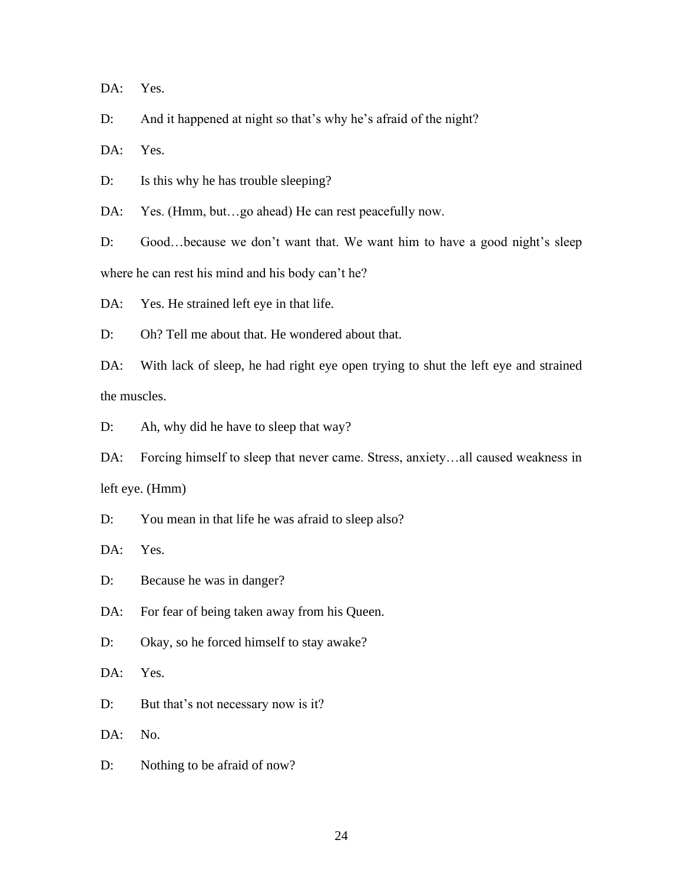DA: Yes.

D: And it happened at night so that's why he's afraid of the night?

DA: Yes.

D: Is this why he has trouble sleeping?

DA: Yes. (Hmm, but...go ahead) He can rest peacefully now.

D: Good...because we don't want that. We want him to have a good night's sleep where he can rest his mind and his body can't he?

DA: Yes. He strained left eye in that life.

D: Oh? Tell me about that. He wondered about that.

DA: With lack of sleep, he had right eye open trying to shut the left eye and strained the muscles.

D: Ah, why did he have to sleep that way?

DA: Forcing himself to sleep that never came. Stress, anxiety…all caused weakness in left eye. (Hmm)

D: You mean in that life he was afraid to sleep also?

DA: Yes.

D: Because he was in danger?

DA: For fear of being taken away from his Queen.

D: Okay, so he forced himself to stay awake?

DA: Yes.

D: But that's not necessary now is it?

DA: No.

D: Nothing to be afraid of now?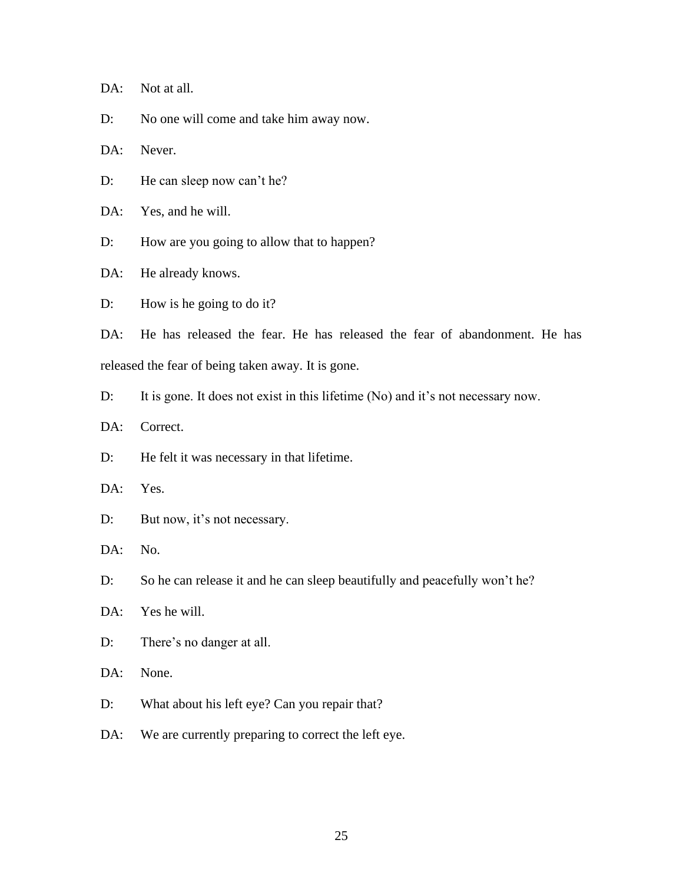DA: Not at all.

D: No one will come and take him away now.

DA: Never.

D: He can sleep now can't he?

DA: Yes, and he will.

D: How are you going to allow that to happen?

DA: He already knows.

D: How is he going to do it?

DA: He has released the fear. He has released the fear of abandonment. He has released the fear of being taken away. It is gone.

D: It is gone. It does not exist in this lifetime (No) and it's not necessary now.

DA: Correct.

D: He felt it was necessary in that lifetime.

DA: Yes.

D: But now, it's not necessary.

DA: No.

D: So he can release it and he can sleep beautifully and peacefully won't he?

DA: Yes he will.

D: There's no danger at all.

DA: None.

D: What about his left eye? Can you repair that?

DA: We are currently preparing to correct the left eye.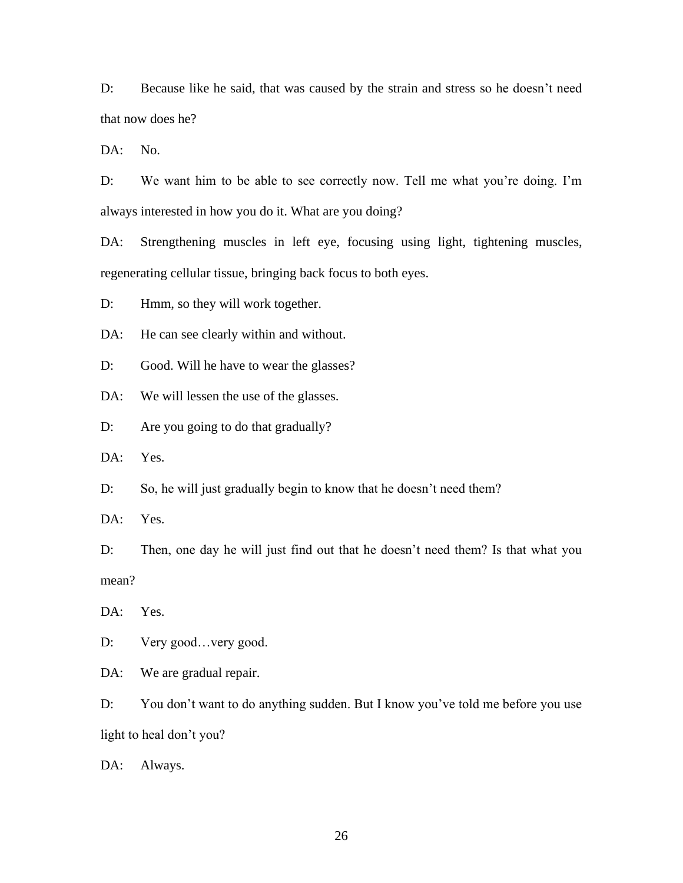D: Because like he said, that was caused by the strain and stress so he doesn't need that now does he?

DA: No.

D: We want him to be able to see correctly now. Tell me what you're doing. I'm always interested in how you do it. What are you doing?

DA: Strengthening muscles in left eye, focusing using light, tightening muscles, regenerating cellular tissue, bringing back focus to both eyes.

D: Hmm, so they will work together.

DA: He can see clearly within and without.

D: Good. Will he have to wear the glasses?

DA: We will lessen the use of the glasses.

D: Are you going to do that gradually?

DA: Yes.

D: So, he will just gradually begin to know that he doesn't need them?

DA: Yes.

D: Then, one day he will just find out that he doesn't need them? Is that what you mean?

DA: Yes.

D: Very good... very good.

DA: We are gradual repair.

D: You don't want to do anything sudden. But I know you've told me before you use light to heal don't you?

DA: Always.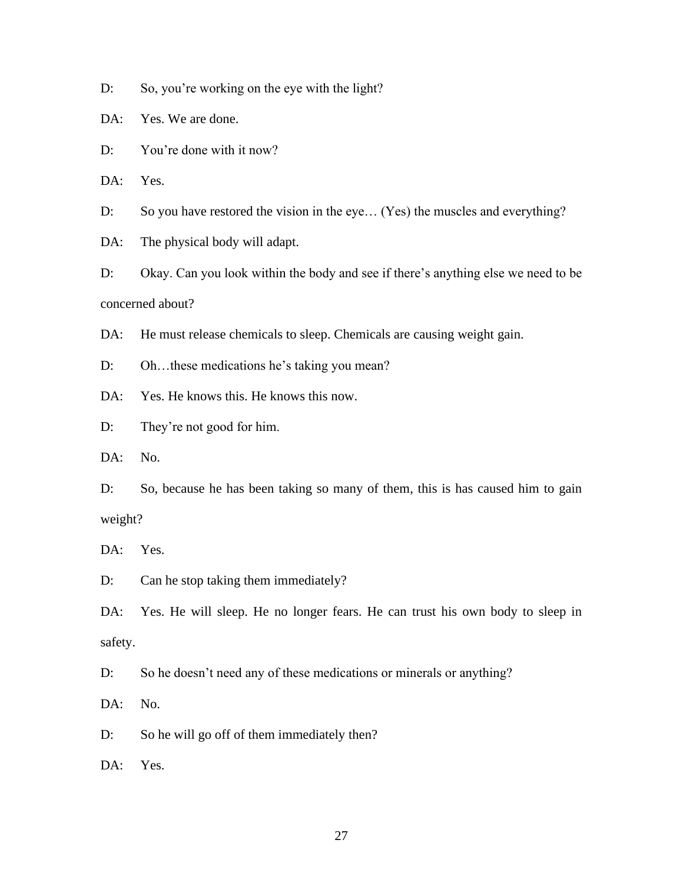D: So, you're working on the eye with the light?

DA: Yes. We are done.

D: You're done with it now?

DA: Yes.

D: So you have restored the vision in the eye... (Yes) the muscles and everything?

DA: The physical body will adapt.

D: Okay. Can you look within the body and see if there's anything else we need to be concerned about?

DA: He must release chemicals to sleep. Chemicals are causing weight gain.

D: Oh…these medications he's taking you mean?

DA: Yes. He knows this. He knows this now.

D: They're not good for him.

DA: No.

D: So, because he has been taking so many of them, this is has caused him to gain weight?

DA: Yes.

D: Can he stop taking them immediately?

DA: Yes. He will sleep. He no longer fears. He can trust his own body to sleep in safety.

D: So he doesn't need any of these medications or minerals or anything?

DA: No.

D: So he will go off of them immediately then?

DA: Yes.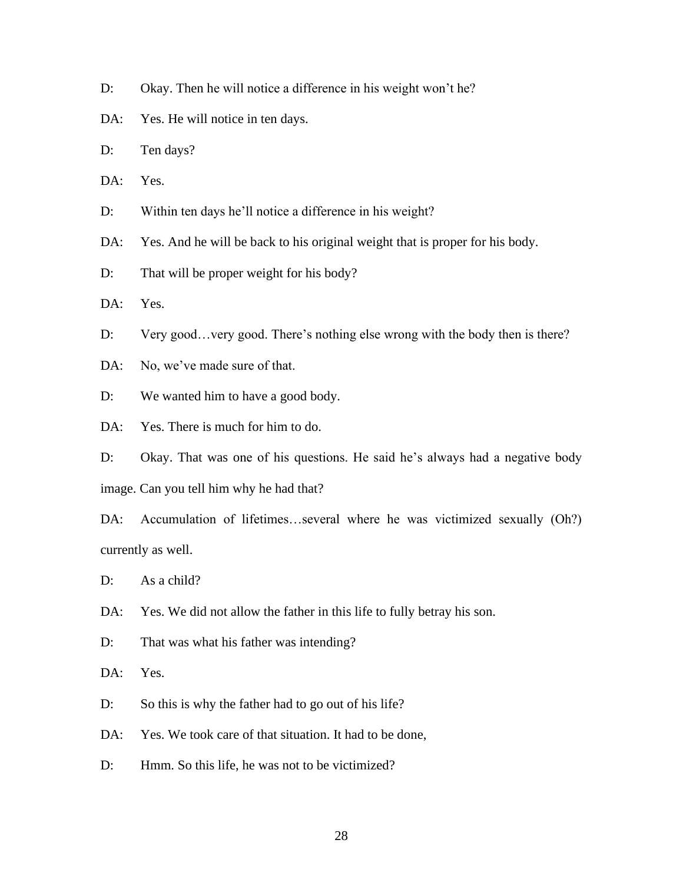- D: Okay. Then he will notice a difference in his weight won't he?
- DA: Yes. He will notice in ten days.
- D: Ten days?
- DA: Yes.
- D: Within ten days he'll notice a difference in his weight?
- DA: Yes. And he will be back to his original weight that is proper for his body.
- D: That will be proper weight for his body?

DA: Yes.

- D: Very good... very good. There's nothing else wrong with the body then is there?
- DA: No, we've made sure of that.
- D: We wanted him to have a good body.
- DA: Yes. There is much for him to do.
- D: Okay. That was one of his questions. He said he's always had a negative body image. Can you tell him why he had that?
- DA: Accumulation of lifetimes...several where he was victimized sexually (Oh?) currently as well.
- D: As a child?
- DA: Yes. We did not allow the father in this life to fully betray his son.
- D: That was what his father was intending?

DA: Yes.

- D: So this is why the father had to go out of his life?
- DA: Yes. We took care of that situation. It had to be done,
- D: Hmm. So this life, he was not to be victimized?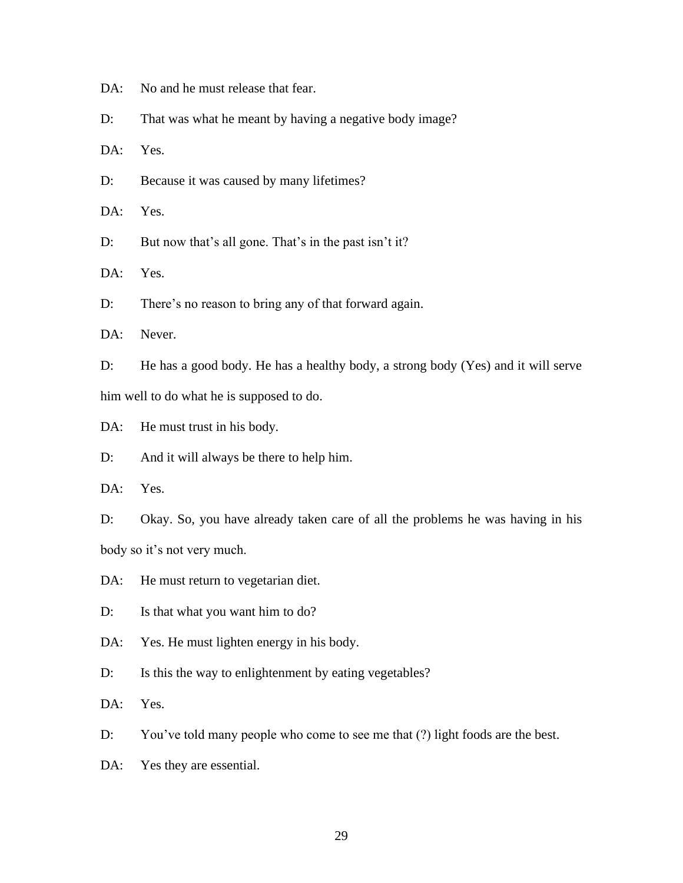DA: No and he must release that fear.

D: That was what he meant by having a negative body image?

DA: Yes.

D: Because it was caused by many lifetimes?

DA: Yes.

D: But now that's all gone. That's in the past isn't it?

DA: Yes.

D: There's no reason to bring any of that forward again.

DA: Never.

D: He has a good body. He has a healthy body, a strong body (Yes) and it will serve him well to do what he is supposed to do.

DA: He must trust in his body.

D: And it will always be there to help him.

DA: Yes.

D: Okay. So, you have already taken care of all the problems he was having in his body so it's not very much.

DA: He must return to vegetarian diet.

D: Is that what you want him to do?

DA: Yes. He must lighten energy in his body.

D: Is this the way to enlightenment by eating vegetables?

DA: Yes.

D: You've told many people who come to see me that (?) light foods are the best.

DA: Yes they are essential.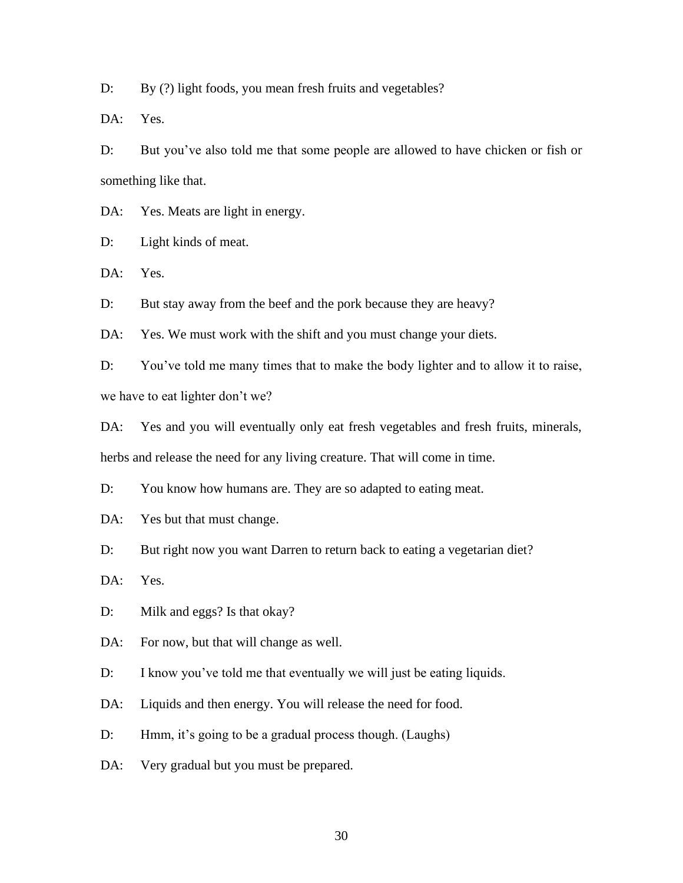D: By (?) light foods, you mean fresh fruits and vegetables?

DA: Yes.

D: But you've also told me that some people are allowed to have chicken or fish or something like that.

DA: Yes. Meats are light in energy.

D: Light kinds of meat.

DA: Yes.

D: But stay away from the beef and the pork because they are heavy?

DA: Yes. We must work with the shift and you must change your diets.

D: You've told me many times that to make the body lighter and to allow it to raise, we have to eat lighter don't we?

DA: Yes and you will eventually only eat fresh vegetables and fresh fruits, minerals, herbs and release the need for any living creature. That will come in time.

D: You know how humans are. They are so adapted to eating meat.

DA: Yes but that must change.

D: But right now you want Darren to return back to eating a vegetarian diet?

DA: Yes.

D: Milk and eggs? Is that okay?

DA: For now, but that will change as well.

D: I know you've told me that eventually we will just be eating liquids.

DA: Liquids and then energy. You will release the need for food.

D: Hmm, it's going to be a gradual process though. (Laughs)

DA: Very gradual but you must be prepared.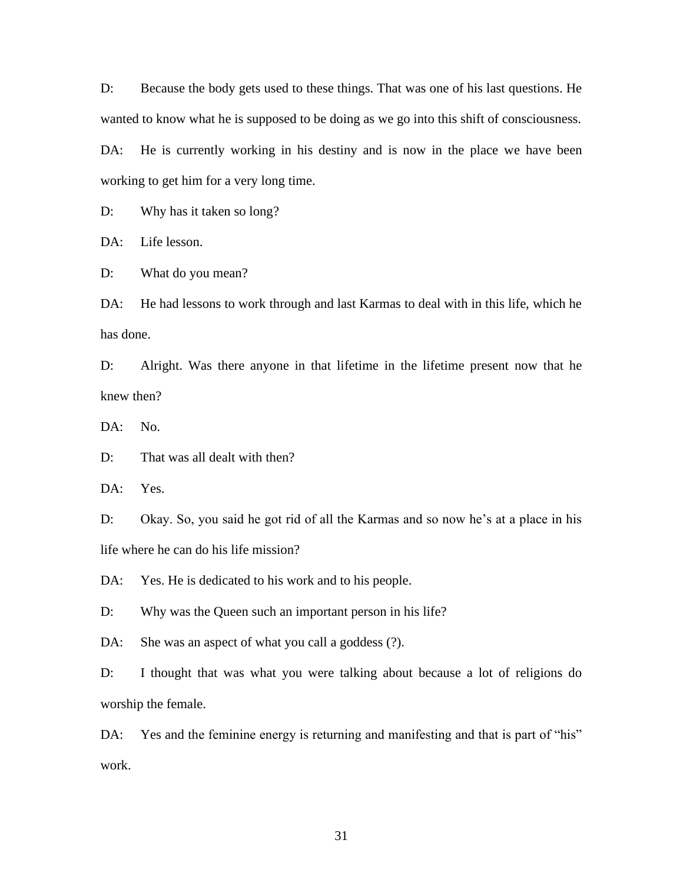D: Because the body gets used to these things. That was one of his last questions. He wanted to know what he is supposed to be doing as we go into this shift of consciousness.

DA: He is currently working in his destiny and is now in the place we have been working to get him for a very long time.

D: Why has it taken so long?

DA: Life lesson.

D: What do you mean?

DA: He had lessons to work through and last Karmas to deal with in this life, which he has done.

D: Alright. Was there anyone in that lifetime in the lifetime present now that he knew then?

DA: No.

D: That was all dealt with then?

DA: Yes.

D: Okay. So, you said he got rid of all the Karmas and so now he's at a place in his life where he can do his life mission?

DA: Yes. He is dedicated to his work and to his people.

D: Why was the Queen such an important person in his life?

DA: She was an aspect of what you call a goddess (?).

D: I thought that was what you were talking about because a lot of religions do worship the female.

DA: Yes and the feminine energy is returning and manifesting and that is part of "his" work.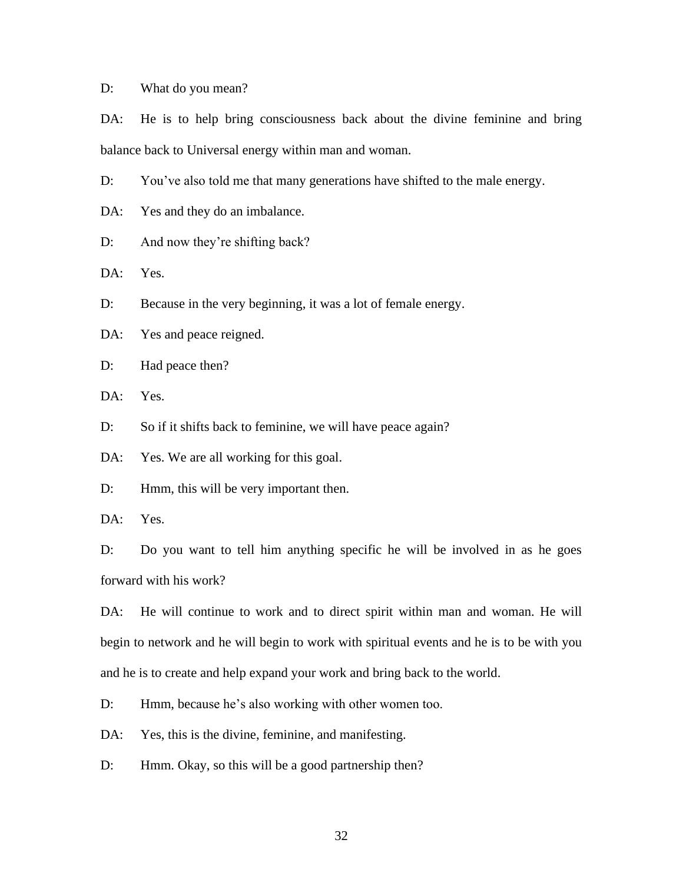D: What do you mean?

DA: He is to help bring consciousness back about the divine feminine and bring balance back to Universal energy within man and woman.

D: You've also told me that many generations have shifted to the male energy.

DA: Yes and they do an imbalance.

D: And now they're shifting back?

DA: Yes.

D: Because in the very beginning, it was a lot of female energy.

DA: Yes and peace reigned.

D: Had peace then?

DA: Yes.

D: So if it shifts back to feminine, we will have peace again?

DA: Yes. We are all working for this goal.

D: Hmm, this will be very important then.

DA: Yes.

D: Do you want to tell him anything specific he will be involved in as he goes forward with his work?

DA: He will continue to work and to direct spirit within man and woman. He will begin to network and he will begin to work with spiritual events and he is to be with you and he is to create and help expand your work and bring back to the world.

D: Hmm, because he's also working with other women too.

DA: Yes, this is the divine, feminine, and manifesting.

D: Hmm. Okay, so this will be a good partnership then?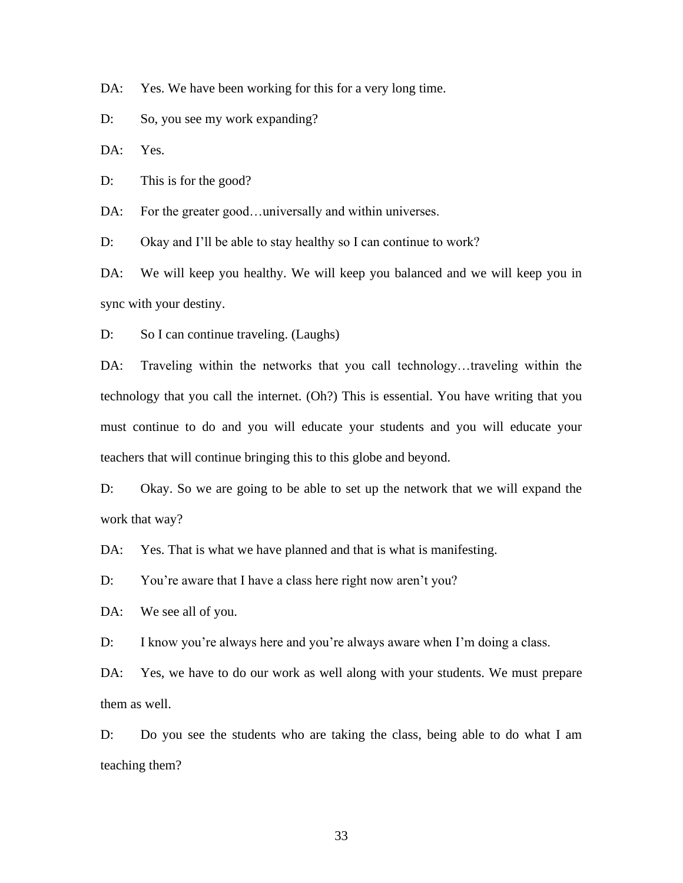DA: Yes. We have been working for this for a very long time.

D: So, you see my work expanding?

DA: Yes.

D: This is for the good?

DA: For the greater good...universally and within universes.

D: Okay and I'll be able to stay healthy so I can continue to work?

DA: We will keep you healthy. We will keep you balanced and we will keep you in sync with your destiny.

D: So I can continue traveling. (Laughs)

DA: Traveling within the networks that you call technology...traveling within the technology that you call the internet. (Oh?) This is essential. You have writing that you must continue to do and you will educate your students and you will educate your teachers that will continue bringing this to this globe and beyond.

D: Okay. So we are going to be able to set up the network that we will expand the work that way?

DA: Yes. That is what we have planned and that is what is manifesting.

D: You're aware that I have a class here right now aren't you?

DA: We see all of you.

D: I know you're always here and you're always aware when I'm doing a class.

DA: Yes, we have to do our work as well along with your students. We must prepare them as well.

D: Do you see the students who are taking the class, being able to do what I am teaching them?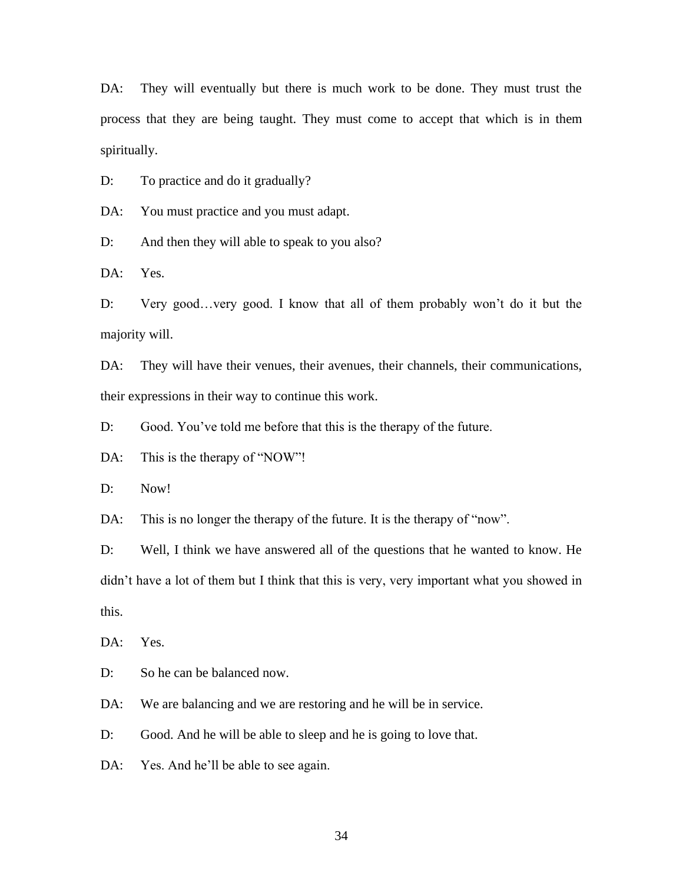DA: They will eventually but there is much work to be done. They must trust the process that they are being taught. They must come to accept that which is in them spiritually.

D: To practice and do it gradually?

DA: You must practice and you must adapt.

D: And then they will able to speak to you also?

DA: Yes.

D: Very good…very good. I know that all of them probably won't do it but the majority will.

DA: They will have their venues, their avenues, their channels, their communications, their expressions in their way to continue this work.

D: Good. You've told me before that this is the therapy of the future.

DA: This is the therapy of "NOW"!

D: Now!

DA: This is no longer the therapy of the future. It is the therapy of "now".

D: Well, I think we have answered all of the questions that he wanted to know. He didn't have a lot of them but I think that this is very, very important what you showed in this.

DA: Yes.

D: So he can be balanced now.

DA: We are balancing and we are restoring and he will be in service.

D: Good. And he will be able to sleep and he is going to love that.

DA: Yes. And he'll be able to see again.